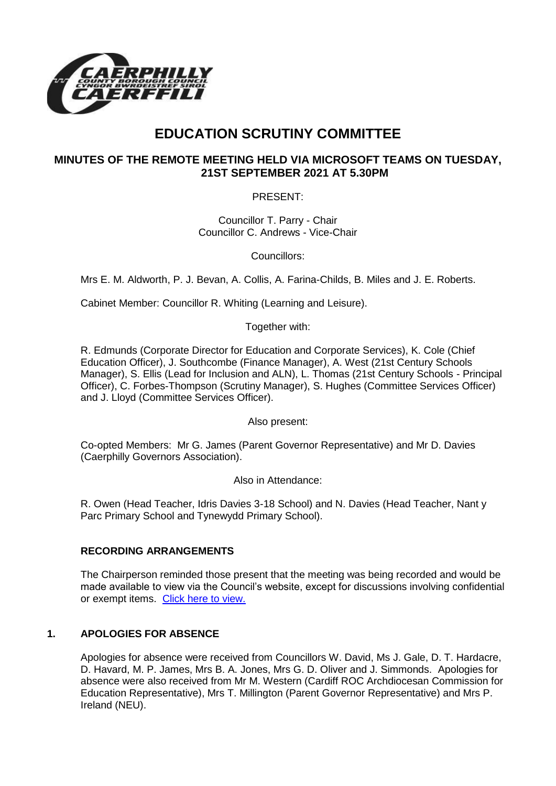

# **EDUCATION SCRUTINY COMMITTEE**

## **MINUTES OF THE REMOTE MEETING HELD VIA MICROSOFT TEAMS ON TUESDAY, 21ST SEPTEMBER 2021 AT 5.30PM**

PRESENT:

Councillor T. Parry - Chair Councillor C. Andrews - Vice-Chair

Councillors:

Mrs E. M. Aldworth, P. J. Bevan, A. Collis, A. Farina-Childs, B. Miles and J. E. Roberts.

Cabinet Member: Councillor R. Whiting (Learning and Leisure).

Together with:

R. Edmunds (Corporate Director for Education and Corporate Services), K. Cole (Chief Education Officer), J. Southcombe (Finance Manager), A. West (21st Century Schools Manager), S. Ellis (Lead for Inclusion and ALN), L. Thomas (21st Century Schools - Principal Officer), C. Forbes-Thompson (Scrutiny Manager), S. Hughes (Committee Services Officer) and J. Lloyd (Committee Services Officer).

Also present:

Co-opted Members: Mr G. James (Parent Governor Representative) and Mr D. Davies (Caerphilly Governors Association).

Also in Attendance:

R. Owen (Head Teacher, Idris Davies 3-18 School) and N. Davies (Head Teacher, Nant y Parc Primary School and Tynewydd Primary School).

## **RECORDING ARRANGEMENTS**

The Chairperson reminded those present that the meeting was being recorded and would be made available to view via the Council's website, except for discussions involving confidential or exempt items. [Click here to view.](https://www.caerphilly.gov.uk/My-Council/Meetings,-agendas,-minutes-and-reports/Council-meetings)

## **1. APOLOGIES FOR ABSENCE**

Apologies for absence were received from Councillors W. David, Ms J. Gale, D. T. Hardacre, D. Havard, M. P. James, Mrs B. A. Jones, Mrs G. D. Oliver and J. Simmonds. Apologies for absence were also received from Mr M. Western (Cardiff ROC Archdiocesan Commission for Education Representative), Mrs T. Millington (Parent Governor Representative) and Mrs P. Ireland (NEU).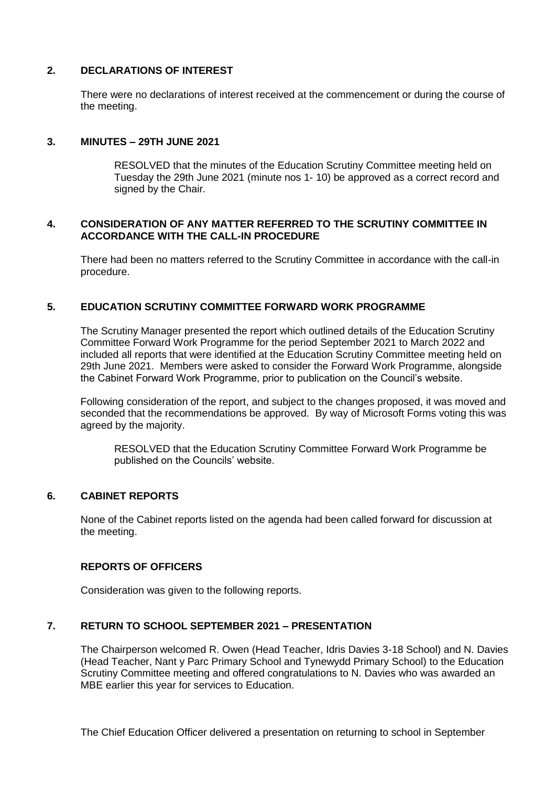## **2. DECLARATIONS OF INTEREST**

There were no declarations of interest received at the commencement or during the course of the meeting.

#### **3. MINUTES – 29TH JUNE 2021**

RESOLVED that the minutes of the Education Scrutiny Committee meeting held on Tuesday the 29th June 2021 (minute nos 1- 10) be approved as a correct record and signed by the Chair.

#### **4. CONSIDERATION OF ANY MATTER REFERRED TO THE SCRUTINY COMMITTEE IN ACCORDANCE WITH THE CALL-IN PROCEDURE**

There had been no matters referred to the Scrutiny Committee in accordance with the call-in procedure.

#### **5. EDUCATION SCRUTINY COMMITTEE FORWARD WORK PROGRAMME**

The Scrutiny Manager presented the report which outlined details of the Education Scrutiny Committee Forward Work Programme for the period September 2021 to March 2022 and included all reports that were identified at the Education Scrutiny Committee meeting held on 29th June 2021. Members were asked to consider the Forward Work Programme, alongside the Cabinet Forward Work Programme, prior to publication on the Council's website.

Following consideration of the report, and subject to the changes proposed, it was moved and seconded that the recommendations be approved. By way of Microsoft Forms voting this was agreed by the majority.

RESOLVED that the Education Scrutiny Committee Forward Work Programme be published on the Councils' website.

#### **6. CABINET REPORTS**

None of the Cabinet reports listed on the agenda had been called forward for discussion at the meeting.

#### **REPORTS OF OFFICERS**

Consideration was given to the following reports.

#### **7. RETURN TO SCHOOL SEPTEMBER 2021 – PRESENTATION**

The Chairperson welcomed R. Owen (Head Teacher, Idris Davies 3-18 School) and N. Davies (Head Teacher, Nant y Parc Primary School and Tynewydd Primary School) to the Education Scrutiny Committee meeting and offered congratulations to N. Davies who was awarded an MBE earlier this year for services to Education.

The Chief Education Officer delivered a presentation on returning to school in September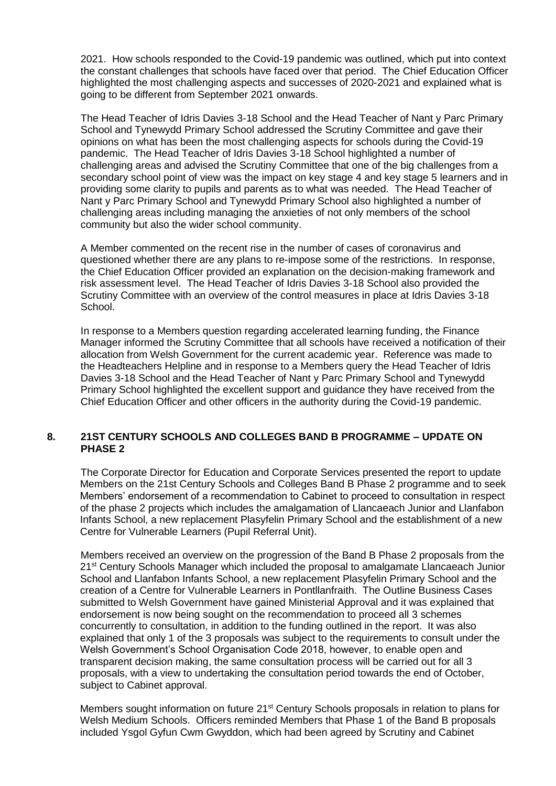2021. How schools responded to the Covid-19 pandemic was outlined, which put into context the constant challenges that schools have faced over that period. The Chief Education Officer highlighted the most challenging aspects and successes of 2020-2021 and explained what is going to be different from September 2021 onwards.

The Head Teacher of Idris Davies 3-18 School and the Head Teacher of Nant y Parc Primary School and Tynewydd Primary School addressed the Scrutiny Committee and gave their opinions on what has been the most challenging aspects for schools during the Covid-19 pandemic. The Head Teacher of Idris Davies 3-18 School highlighted a number of challenging areas and advised the Scrutiny Committee that one of the big challenges from a secondary school point of view was the impact on key stage 4 and key stage 5 learners and in providing some clarity to pupils and parents as to what was needed. The Head Teacher of Nant y Parc Primary School and Tynewydd Primary School also highlighted a number of challenging areas including managing the anxieties of not only members of the school community but also the wider school community.

A Member commented on the recent rise in the number of cases of coronavirus and questioned whether there are any plans to re-impose some of the restrictions. In response, the Chief Education Officer provided an explanation on the decision-making framework and risk assessment level. The Head Teacher of Idris Davies 3-18 School also provided the Scrutiny Committee with an overview of the control measures in place at Idris Davies 3-18 School.

In response to a Members question regarding accelerated learning funding, the Finance Manager informed the Scrutiny Committee that all schools have received a notification of their allocation from Welsh Government for the current academic year. Reference was made to the Headteachers Helpline and in response to a Members query the Head Teacher of Idris Davies 3-18 School and the Head Teacher of Nant y Parc Primary School and Tynewydd Primary School highlighted the excellent support and guidance they have received from the Chief Education Officer and other officers in the authority during the Covid-19 pandemic.

#### **8. 21ST CENTURY SCHOOLS AND COLLEGES BAND B PROGRAMME – UPDATE ON PHASE 2**

The Corporate Director for Education and Corporate Services presented the report to update Members on the 21st Century Schools and Colleges Band B Phase 2 programme and to seek Members' endorsement of a recommendation to Cabinet to proceed to consultation in respect of the phase 2 projects which includes the amalgamation of Llancaeach Junior and Llanfabon Infants School, a new replacement Plasyfelin Primary School and the establishment of a new Centre for Vulnerable Learners (Pupil Referral Unit).

Members received an overview on the progression of the Band B Phase 2 proposals from the 21st Century Schools Manager which included the proposal to amalgamate Llancaeach Junior School and Llanfabon Infants School, a new replacement Plasyfelin Primary School and the creation of a Centre for Vulnerable Learners in Pontllanfraith. The Outline Business Cases submitted to Welsh Government have gained Ministerial Approval and it was explained that endorsement is now being sought on the recommendation to proceed all 3 schemes concurrently to consultation, in addition to the funding outlined in the report. It was also explained that only 1 of the 3 proposals was subject to the requirements to consult under the Welsh Government's School Organisation Code 2018, however, to enable open and transparent decision making, the same consultation process will be carried out for all 3 proposals, with a view to undertaking the consultation period towards the end of October, subject to Cabinet approval.

Members sought information on future 21<sup>st</sup> Century Schools proposals in relation to plans for Welsh Medium Schools. Officers reminded Members that Phase 1 of the Band B proposals included Ysgol Gyfun Cwm Gwyddon, which had been agreed by Scrutiny and Cabinet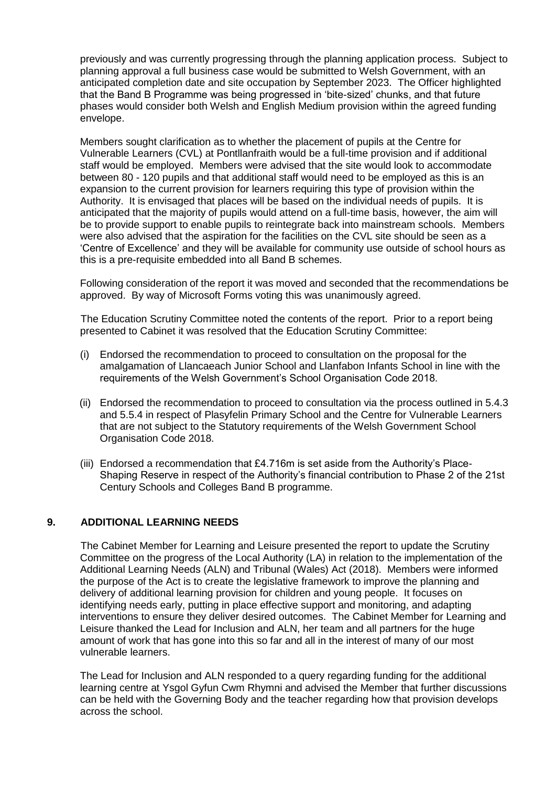previously and was currently progressing through the planning application process. Subject to planning approval a full business case would be submitted to Welsh Government, with an anticipated completion date and site occupation by September 2023. The Officer highlighted that the Band B Programme was being progressed in 'bite-sized' chunks, and that future phases would consider both Welsh and English Medium provision within the agreed funding envelope.

Members sought clarification as to whether the placement of pupils at the Centre for Vulnerable Learners (CVL) at Pontllanfraith would be a full-time provision and if additional staff would be employed. Members were advised that the site would look to accommodate between 80 - 120 pupils and that additional staff would need to be employed as this is an expansion to the current provision for learners requiring this type of provision within the Authority. It is envisaged that places will be based on the individual needs of pupils. It is anticipated that the majority of pupils would attend on a full-time basis, however, the aim will be to provide support to enable pupils to reintegrate back into mainstream schools. Members were also advised that the aspiration for the facilities on the CVL site should be seen as a 'Centre of Excellence' and they will be available for community use outside of school hours as this is a pre-requisite embedded into all Band B schemes.

Following consideration of the report it was moved and seconded that the recommendations be approved. By way of Microsoft Forms voting this was unanimously agreed.

The Education Scrutiny Committee noted the contents of the report. Prior to a report being presented to Cabinet it was resolved that the Education Scrutiny Committee:

- (i) Endorsed the recommendation to proceed to consultation on the proposal for the amalgamation of Llancaeach Junior School and Llanfabon Infants School in line with the requirements of the Welsh Government's School Organisation Code 2018.
- (ii) Endorsed the recommendation to proceed to consultation via the process outlined in 5.4.3 and 5.5.4 in respect of Plasyfelin Primary School and the Centre for Vulnerable Learners that are not subject to the Statutory requirements of the Welsh Government School Organisation Code 2018.
- (iii) Endorsed a recommendation that  $£4.716m$  is set aside from the Authority's Place-Shaping Reserve in respect of the Authority's financial contribution to Phase 2 of the 21st Century Schools and Colleges Band B programme.

#### **9. ADDITIONAL LEARNING NEEDS**

The Cabinet Member for Learning and Leisure presented the report to update the Scrutiny Committee on the progress of the Local Authority (LA) in relation to the implementation of the Additional Learning Needs (ALN) and Tribunal (Wales) Act (2018). Members were informed the purpose of the Act is to create the legislative framework to improve the planning and delivery of additional learning provision for children and young people. It focuses on identifying needs early, putting in place effective support and monitoring, and adapting interventions to ensure they deliver desired outcomes. The Cabinet Member for Learning and Leisure thanked the Lead for Inclusion and ALN, her team and all partners for the huge amount of work that has gone into this so far and all in the interest of many of our most vulnerable learners.

The Lead for Inclusion and ALN responded to a query regarding funding for the additional learning centre at Ysgol Gyfun Cwm Rhymni and advised the Member that further discussions can be held with the Governing Body and the teacher regarding how that provision develops across the school.